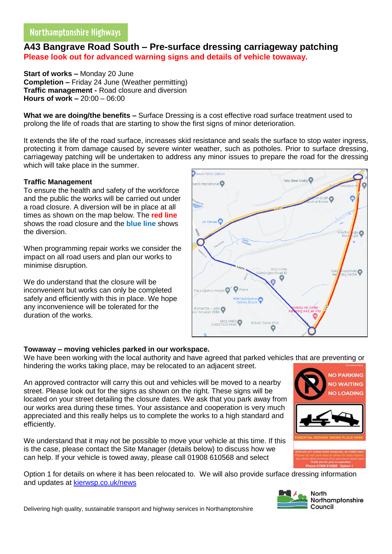# **A43 Bangrave Road South – Pre-surface dressing carriageway patching Please look out for advanced warning signs and details of vehicle towaway.**

**Start of works –** Monday 20 June **Completion –** Friday 24 June (Weather permitting) **Traffic management -** Road closure and diversion **Hours of work –** 20:00 – 06:00

**What we are doing/the benefits –** Surface Dressing is a cost effective road surface treatment used to prolong the life of roads that are starting to show the first signs of minor deterioration.

It extends the life of the road surface, increases skid resistance and seals the surface to stop water ingress, protecting it from damage caused by severe winter weather, such as potholes. Prior to surface dressing, carriageway patching will be undertaken to address any minor issues to prepare the road for the dressing which will take place in the summer.

### **Traffic Management**

To ensure the health and safety of the workforce and the public the works will be carried out under a road closure. A diversion will be in place at all times as shown on the map below. The **red line** shows the road closure and the **blue line** shows the diversion.

When programming repair works we consider the impact on all road users and plan our works to minimise disruption.

We do understand that the closure will be inconvenient but works can only be completed safely and efficiently with this in place. We hope any inconvenience will be tolerated for the duration of the works.



We have been working with the local authority and have agreed that parked vehicles that are preventing or hindering the works taking place, may be relocated to an adjacent street.

An approved contractor will carry this out and vehicles will be moved to a nearby street. Please look out for the signs as shown on the right. These signs will be located on your street detailing the closure dates. We ask that you park away from our works area during these times. Your assistance and cooperation is very much appreciated and this really helps us to complete the works to a high standard and efficiently.

We understand that it may not be possible to move your vehicle at this time. If this is the case, please contact the Site Manager (details below) to discuss how we can help. If your vehicle is towed away, please call 01908 610568 and select

Option 1 for details on where it has been relocated to. We will also provide surface dressing information and updates at [kierwsp.co.uk/news](https://www.kierwsp.co.uk/news)



**NO PARKING NO WAITING JO LOADING** 

Delivering high quality, sustainable transport and highway services in Northamptonshire